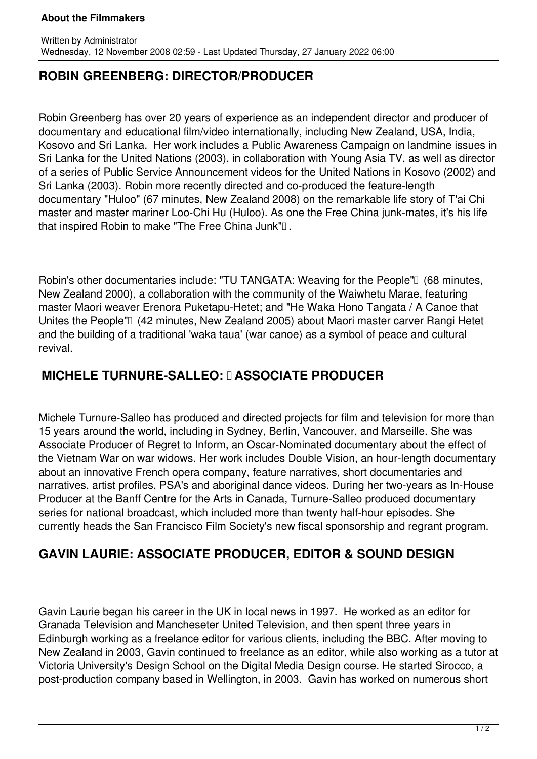#### **About the Filmmakers**

### **ROBIN GREENBERG: DIRECTOR/PRODUCER**

Robin Greenberg has over 20 years of experience as an independent director and producer of documentary and educational film/video internationally, including New Zealand, USA, India, Kosovo and Sri Lanka. Her work includes a Public Awareness Campaign on landmine issues in Sri Lanka for the United Nations (2003), in collaboration with Young Asia TV, as well as director of a series of Public Service Announcement videos for the United Nations in Kosovo (2002) and Sri Lanka (2003). Robin more recently directed and co-produced the feature-length documentary "Huloo" (67 minutes, New Zealand 2008) on the remarkable life story of T'ai Chi master and master mariner Loo-Chi Hu (Huloo). As one the Free China junk-mates, it's his life that inspired Robin to make "The Free China Junk" $\Box$ .

Robin's other documentaries include: "TU TANGATA: Weaving for the People" (68 minutes, New Zealand 2000), a collaboration with the community of the Waiwhetu Marae, featuring master Maori weaver Erenora Puketapu-Hetet; and "He Waka Hono Tangata / A Canoe that Unites the People" (42 minutes, New Zealand 2005) about Maori master carver Rangi Hetet and the building of a traditional 'waka taua' (war canoe) as a symbol of peace and cultural revival.

### **MICHELE TURNURE-SALLEO: I ASSOCIATE PRODUCER**

Michele Turnure-Salleo has produced and directed projects for film and television for more than 15 years around the world, including in Sydney, Berlin, Vancouver, and Marseille. She was Associate Producer of Regret to Inform, an Oscar-Nominated documentary about the effect of the Vietnam War on war widows. Her work includes Double Vision, an hour-length documentary about an innovative French opera company, feature narratives, short documentaries and narratives, artist profiles, PSA's and aboriginal dance videos. During her two-years as In-House Producer at the Banff Centre for the Arts in Canada, Turnure-Salleo produced documentary series for national broadcast, which included more than twenty half-hour episodes. She currently heads the San Francisco Film Society's new fiscal sponsorship and regrant program.

# **GAVIN LAURIE: ASSOCIATE PRODUCER, EDITOR & SOUND DESIGN**

Gavin Laurie began his career in the UK in local news in 1997. He worked as an editor for Granada Television and Mancheseter United Television, and then spent three years in Edinburgh working as a freelance editor for various clients, including the BBC. After moving to New Zealand in 2003, Gavin continued to freelance as an editor, while also working as a tutor at Victoria University's Design School on the Digital Media Design course. He started Sirocco, a post-production company based in Wellington, in 2003. Gavin has worked on numerous short